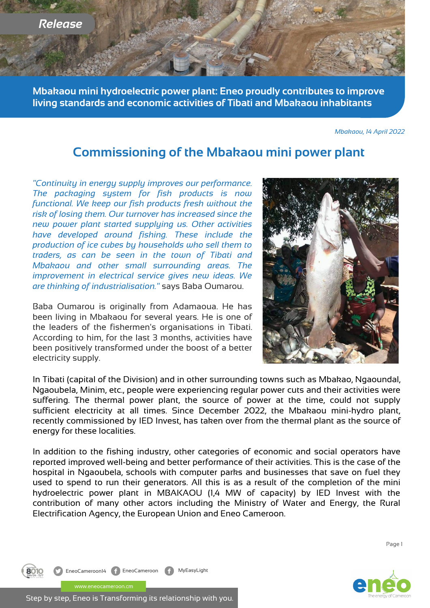*Release*

**Mbakaou mini hydroelectric power plant: Eneo proudly contributes to improve living standards and economic activities of Tibati and Mbakaou inhabitants**

*Mbakaou, 14 April 2022*

# **Commissioning of the Mbakaou mini power plant**

*"Continuity in energy supply improves our performance. The packaging system for fish products is now functional. We keep our fish products fresh without the risk of losing them. Our turnover has increased since the new power plant started supplying us. Other activities have developed around fishing. These include the production of ice cubes by households who sell them to traders, as can be seen in the town of Tibati and Mbakaou and other small surrounding areas. The improvement in electrical service gives new ideas. We are thinking of industrialisation."* says Baba Oumarou.

Baba Oumarou is originally from Adamaoua. He has been living in Mbakaou for several years. He is one of the leaders of the fishermen's organisations in Tibati. According to him, for the last 3 months, activities have been positively transformed under the boost of a better electricity supply.

In Tibati (capital of the Division) and in other surrounding towns such as Mbakao, Ngaoundal, Ngaoubela, Minim, etc., people were experiencing regular power cuts and their activities were suffering. The thermal power plant, the source of power at the time, could not supply sufficient electricity at all times. Since December 2022, the Mbakaou mini-hydro plant, recently commissioned by IED Invest, has taken over from the thermal plant as the source of energy for these localities.

In addition to the fishing industry, other categories of economic and social operators have reported improved well-being and better performance of their activities. This is the case of the hospital in Ngaoubela, schools with computer parks and businesses that save on fuel they used to spend to run their generators. All this is as a result of the completion of the mini hydroelectric power plant in MBAKAOU (1,4 MW of capacity) by IED Invest with the contribution of many other actors including the Ministry of Water and Energy, the Rural Electrification Agency, the European Union and Eneo Cameroon.

Page 1



EneoCameroon14 **f** EneoCameroon **f** MyEasyLight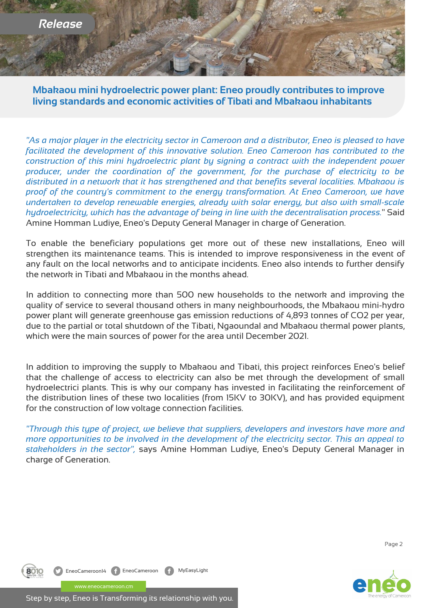

**Mbakaou mini hydroelectric power plant: Eneo proudly contributes to improve living standards and economic activities of Tibati and Mbakaou inhabitants**

*"As a major player in the electricity sector in Cameroon and a distributor, Eneo is pleased to have facilitated the development of this innovative solution. Eneo Cameroon has contributed to the construction of this mini hydroelectric plant by signing a contract with the independent power producer, under the coordination of the government, for the purchase of electricity to be distributed in a network that it has strengthened and that benefits several localities. Mbakaou is proof of the country's commitment to the energy transformation. At Eneo Cameroon, we have undertaken to develop renewable energies, already with solar energy, but also with small-scale hydroelectricity, which has the advantage of being in line with the decentralisation process.*" Said Amine Homman Ludiye, Eneo's Deputy General Manager in charge of Generation.

To enable the beneficiary populations get more out of these new installations, Eneo will strengthen its maintenance teams. This is intended to improve responsiveness in the event of any fault on the local networks and to anticipate incidents. Eneo also intends to further densify the network in Tibati and Mbakaou in the months ahead.

In addition to connecting more than 500 new households to the network and improving the quality of service to several thousand others in many neighbourhoods, the Mbakaou mini-hydro power plant will generate greenhouse gas emission reductions of 4,893 tonnes of CO2 per year, due to the partial or total shutdown of the Tibati, Ngaoundal and Mbakaou thermal power plants, which were the main sources of power for the area until December 2021.

In addition to improving the supply to Mbakaou and Tibati, this project reinforces Eneo's belief that the challenge of access to electricity can also be met through the development of small hydroelectrici plants. This is why our company has invested in facilitating the reinforcement of the distribution lines of these two localities (from 15KV to 30KV), and has provided equipment for the construction of low voltage connection facilities.

*"Through this type of project, we believe that suppliers, developers and investors have more and more opportunities to be involved in the development of the electricity sector. This an appeal to stakeholders in the sector",* says Amine Homman Ludiye, Eneo's Deputy General Manager in charge of Generation.

Page 2



EneoCameroon14 **f** EneoCameroon **f** MyEasyLight www.eneocameroon.cm

Step by step, Eneo is Transforming its relationship with you.